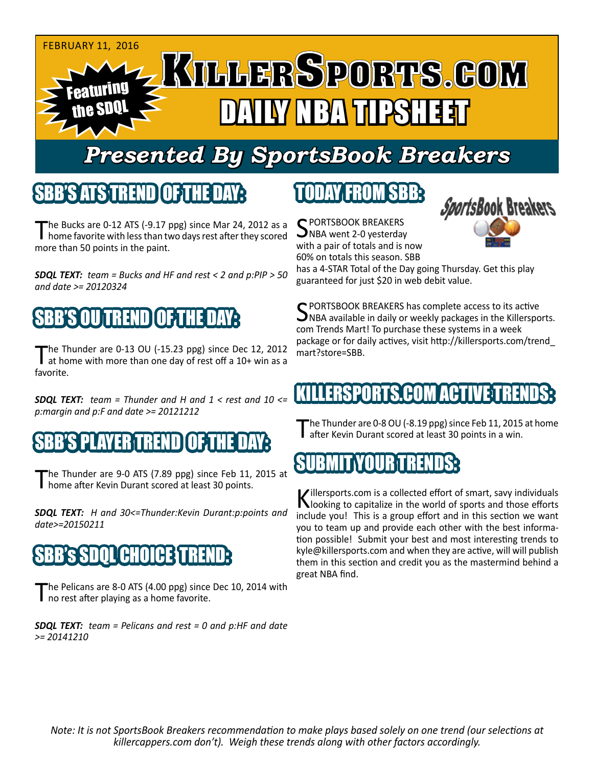

# *Presented By SportsBook Breakers*

# SBB'S ATSTEREND

The Bucks are 0-12 ATS (-9.17 ppg) since Mar 24, 2012 as a<br>home favorite with less than two days rest after they scored more than 50 points in the paint.

*SDQL TEXT: team = Bucks and HF and rest < 2 and p:PIP > 50 and date >= 20120324*



The Thunder are 0-13 OU (-15.23 ppg) since Dec 12, 2012<br>at home with more than one day of rest off a 10+ win as a favorite.

*SDQL TEXT: team = Thunder and H and 1 < rest and 10 <= p:margin and p:F and date >= 20121212*

# SBB'S PLAYER TREND OF THE DAY:

The Thunder are 9-0 ATS (7.89 ppg) since Feb 11, 2015 at home after Kevin Durant scored at least 30 points.

*SDQL TEXT: H and 30<=Thunder:Kevin Durant:p:points and date>=20150211*

# **GHOICE**

The Pelicans are 8-0 ATS (4.00 ppg) since Dec 10, 2014 with no rest after playing as a home favorite.

*SDQL TEXT: team = Pelicans and rest = 0 and p:HF and date >= 20141210*

# TODAY FROM SBB:

C PORTSBOOK BREAKERS  $\sum$ NBA went 2-0 yesterday with a pair of totals and is now 60% on totals this season. SBB



has a 4-STAR Total of the Day going Thursday. Get this play guaranteed for just \$20 in web debit value.

**C** PORTSBOOK BREAKERS has complete access to its active  $\Box$ NBA available in daily or weekly packages in the Killersports. com Trends Mart! To purchase these systems in a week package or for daily actives, visit http://killersports.com/trend\_ mart?store=SBB.

# **KILLERSPORTS.COM ACTIVE TREN**

The Thunder are 0-8 OU (-8.19 ppg) since Feb 11, 2015 at home<br>Tafter Kevin Durant scored at least 30 points in a win.

# SUBMIT YOUR TRENDS:

Killersports.com is a collected effort of smart, savy individuals<br>Nooking to capitalize in the world of sports and those efforts include you! This is a group effort and in this section we want you to team up and provide each other with the best information possible! Submit your best and most interesting trends to kyle@killersports.com and when they are active, will will publish them in this section and credit you as the mastermind behind a great NBA find.

*Note: It is not SportsBook Breakers recommendation to make plays based solely on one trend (our selections at killercappers.com don't). Weigh these trends along with other factors accordingly.*